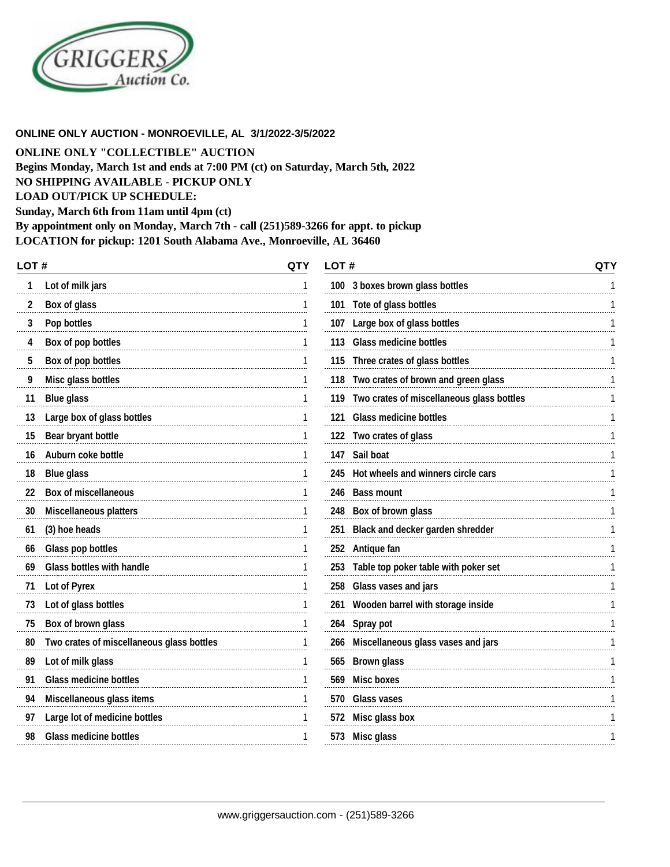

#### **ONLINE ONLY AUCTION - MONROEVILLE, AL 3/1/2022-3/5/2022**

**ONLINE ONLY "COLLECTIBLE" AUCTION**

**Begins Monday, March 1st and ends at 7:00 PM (ct) on Saturday, March 5th, 2022**

**NO SHIPPING AVAILABLE - PICKUP ONLY**

**LOAD OUT/PICK UP SCHEDULE:**

**Sunday, March 6th from 11am until 4pm (ct)**

**By appointment only on Monday, March 7th - call (251)589-3266 for appt. to pickup**

**LOCATION for pickup: 1201 South Alabama Ave., Monroeville, AL 36460**

| LOT# |                                           | <b>QTY</b> | LOT# |                                               | QTY |
|------|-------------------------------------------|------------|------|-----------------------------------------------|-----|
|      | Lot of milk jars                          |            |      | 100 3 boxes brown glass bottles               |     |
| 2    | <b>Box of glass</b>                       | 1          |      | 101 Tote of glass bottles                     |     |
| 3    | Pop bottles                               | 1          |      | 107 Large box of glass bottles                |     |
| 4    | Box of pop bottles                        | 1          |      | 113 Glass medicine bottles                    |     |
| 5    | Box of pop bottles                        |            |      | 115 Three crates of glass bottles             |     |
| 9    | Misc glass bottles                        | 1          |      | 118 Two crates of brown and green glass       |     |
| 11   | <b>Blue glass</b>                         |            |      | 119 Two crates of miscellaneous glass bottles |     |
| 13   | Large box of glass bottles                | 1          |      | 121 Glass medicine bottles                    |     |
| 15   | <b>Bear bryant bottle</b>                 | 1          |      | 122 Two crates of glass                       |     |
| 16   | Auburn coke bottle                        | 1          |      | 147 Sail boat                                 |     |
| 18   | <b>Blue glass</b>                         |            |      | 245 Hot wheels and winners circle cars        |     |
| 22   | <b>Box of miscellaneous</b>               |            |      | 246 Bass mount                                |     |
| 30   | <b>Miscellaneous platters</b>             |            |      | 248 Box of brown glass                        |     |
| 61   | (3) hoe heads                             |            |      | 251 Black and decker garden shredder          |     |
| 66   | <b>Glass pop bottles</b>                  |            |      | 252 Antique fan                               |     |
| 69   | <b>Glass bottles with handle</b>          | 1          |      | 253 Table top poker table with poker set      |     |
| 71   | <b>Lot of Pyrex</b>                       | 1          |      | 258 Glass vases and jars                      |     |
| 73   | Lot of glass bottles                      | 1          |      | 261 Wooden barrel with storage inside         |     |
| 75   | Box of brown glass                        | 1          |      | 264 Spray pot                                 |     |
| 80   | Two crates of miscellaneous glass bottles |            |      | 266 Miscellaneous glass vases and jars        |     |
| 89   | Lot of milk glass                         |            |      | 565 Brown glass                               |     |
| 91   | <b>Glass medicine bottles</b>             |            | 569  | <b>Misc boxes</b>                             |     |
| 94   | Miscellaneous glass items                 |            |      | 570 Glass vases                               |     |
| 97   | Large lot of medicine bottles             | 1          |      | 572 Misc glass box                            |     |
| 98   | <b>Glass medicine bottles</b>             | 1          |      | 573 Misc glass                                |     |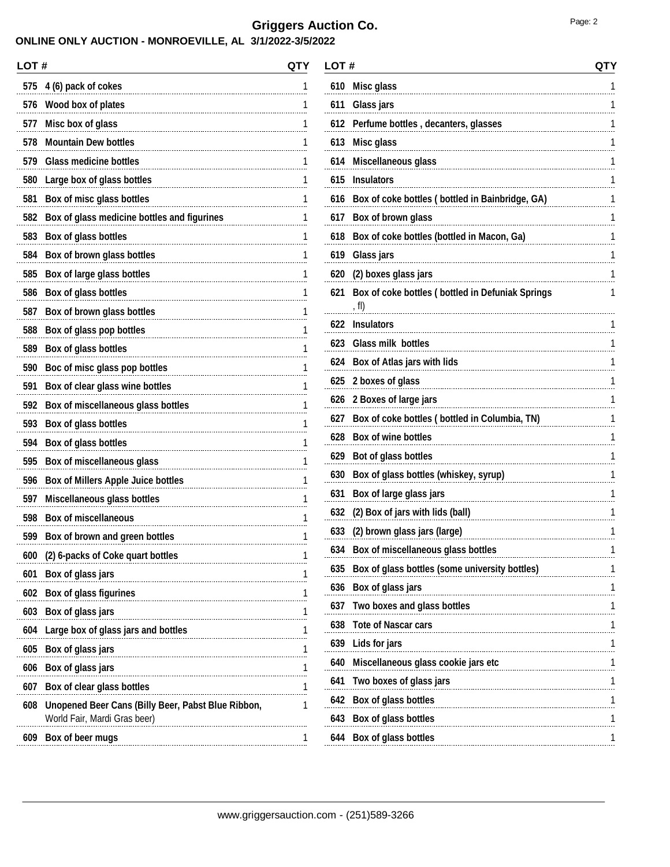## **ONLINE ONLY AUCTION - MONROEVILLE, AL 3/1/2022-3/5/2022**

| LOT# |                                                                                    | QTY |
|------|------------------------------------------------------------------------------------|-----|
| 575  | 4 (6) pack of cokes                                                                | 1   |
| 576  | Wood box of plates                                                                 | 1   |
| 577  | Misc box of glass                                                                  | 1   |
| 578  | <b>Mountain Dew bottles</b>                                                        | 1   |
| 579  | <b>Glass medicine bottles</b>                                                      | 1   |
| 580  | Large box of glass bottles                                                         | 1   |
| 581  | Box of misc glass bottles                                                          | 1   |
| 582  | Box of glass medicine bottles and figurines                                        | 1   |
| 583  | Box of glass bottles                                                               | 1   |
| 584  | Box of brown glass bottles                                                         | 1   |
| 585  | Box of large glass bottles                                                         | 1   |
| 586  | Box of glass bottles                                                               | 1   |
| 587  | Box of brown glass bottles                                                         | 1   |
| 588  | Box of glass pop bottles                                                           | 1   |
| 589  | Box of glass bottles                                                               | 1   |
| 590  | Boc of misc glass pop bottles                                                      | 1   |
| 591  | Box of clear glass wine bottles                                                    | 1   |
| 592  | Box of miscellaneous glass bottles                                                 | 1   |
| 593  | <b>Box of glass bottles</b>                                                        | 1   |
| 594  | <b>Box of glass bottles</b>                                                        | 1   |
| 595  | Box of miscellaneous glass                                                         | 1   |
| 596  | <b>Box of Millers Apple Juice bottles</b>                                          | 1   |
| 597  | Miscellaneous glass bottles                                                        | 1   |
| 598  | <b>Box of miscellaneous</b>                                                        | 1   |
| 599  | Box of brown and green bottles                                                     | 1   |
| 600  | (2) 6-packs of Coke quart bottles                                                  | 1   |
| 601  | Box of glass jars                                                                  | 1   |
| 602  | <b>Box of glass figurines</b>                                                      | 1   |
| 603  | Box of glass jars                                                                  | 1   |
| 604  | Large box of glass jars and bottles                                                | 1   |
| 605  | Box of glass jars                                                                  | 1   |
| 606  | Box of glass jars                                                                  | 1   |
| 607  | Box of clear glass bottles                                                         | 1   |
| 608  | Unopened Beer Cans (Billy Beer, Pabst Blue Ribbon,<br>World Fair, Mardi Gras beer) | 1   |
| 609  | Box of beer mugs                                                                   | 1   |
|      |                                                                                    |     |

| LOT # |                                                           | QTY |
|-------|-----------------------------------------------------------|-----|
| 610   | Misc glass                                                | 1   |
| 611   | <b>Glass jars</b>                                         | 1   |
| 612   | Perfume bottles, decanters, glasses                       | 1   |
| 613   | <b>Misc glass</b>                                         | 1   |
| 614   | Miscellaneous glass                                       | 1   |
| 615   | <b>Insulators</b>                                         | 1   |
| 616   | Box of coke bottles (bottled in Bainbridge, GA)           | 1   |
| 617   | Box of brown glass                                        | 1   |
| 618   | Box of coke bottles (bottled in Macon, Ga)                | 1   |
| 619   | <b>Glass jars</b>                                         | 1   |
| 620   | (2) boxes glass jars                                      | 1   |
| 621   | Box of coke bottles (bottled in Defuniak Springs<br>, fl) | 1   |
| 622   | <b>Insulators</b>                                         | 1   |
| 623   | <b>Glass milk bottles</b>                                 | 1   |
| 624   | Box of Atlas jars with lids                               | 1   |
| 625   | 2 boxes of glass                                          | 1   |
| 626   | 2 Boxes of large jars                                     | 1   |
| 627   | Box of coke bottles (bottled in Columbia, TN)             | 1   |
| 628   | <b>Box of wine bottles</b>                                | 1   |
| 629   | Bot of glass bottles                                      | 1   |
| 630   | Box of glass bottles (whiskey, syrup)                     | 1   |
| 631   | Box of large glass jars                                   | 1   |
| 632   | (2) Box of jars with lids (ball)                          | 1   |
| 633   | (2) brown glass jars (large)                              | 1   |
| 634   | Box of miscellaneous glass bottles                        | 1   |
| 635   | Box of glass bottles (some university bottles)            | 1   |
| 636   | <b>Box of glass jars</b>                                  | 1   |
| 637   | Two boxes and glass bottles                               | 1   |
|       | 638 Tote of Nascar cars                                   | 1   |
| 639   | Lids for jars<br>                                         | 1   |
| 640   | Miscellaneous glass cookie jars etc                       | 1   |
| 641   | Two boxes of glass jars                                   | 1   |
| 642   | Box of glass bottles                                      | 1   |
| 643   | <b>Box of glass bottles</b>                               | 1   |
|       | 644 Box of glass bottles                                  | 1   |
|       |                                                           |     |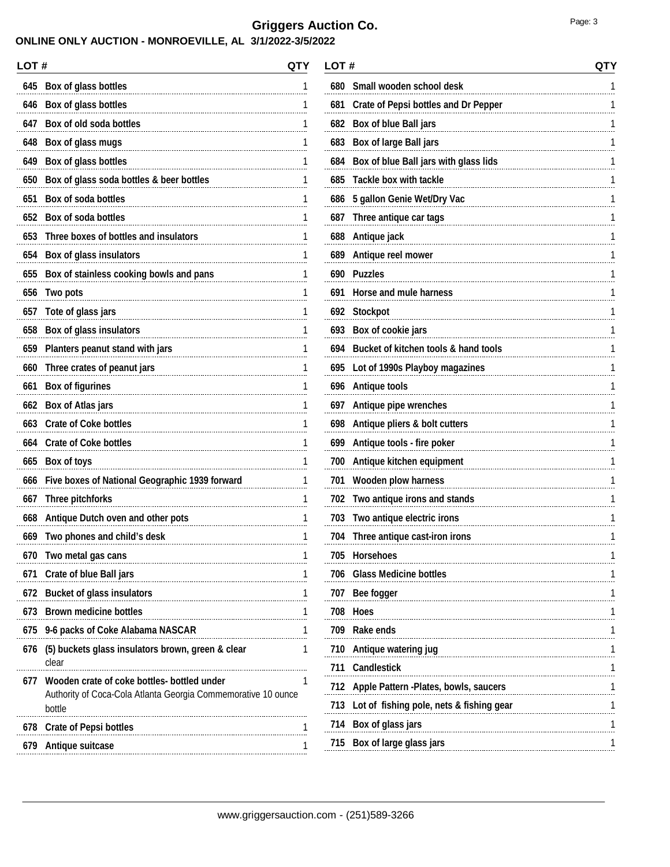## **ONLINE ONLY AUCTION - MONROEVILLE, AL 3/1/2022-3/5/2022**

| LOT# | QTY                                                                                                                    |   |
|------|------------------------------------------------------------------------------------------------------------------------|---|
| 645  | Box of glass bottles                                                                                                   | 1 |
| 646  | Box of glass bottles                                                                                                   | 1 |
| 647  | Box of old soda bottles                                                                                                | 1 |
| 648  | Box of glass mugs                                                                                                      | 1 |
| 649  | Box of glass bottles                                                                                                   | 1 |
| 650  | Box of glass soda bottles & beer bottles                                                                               | 1 |
| 651  | <b>Box of soda bottles</b>                                                                                             | 1 |
| 652  | <b>Box of soda bottles</b>                                                                                             | 1 |
| 653  | Three boxes of bottles and insulators                                                                                  | 1 |
| 654  | <b>Box of glass insulators</b>                                                                                         | 1 |
| 655  | Box of stainless cooking bowls and pans                                                                                | 1 |
| 656  | Two pots                                                                                                               | 1 |
| 657  | Tote of glass jars                                                                                                     | 1 |
| 658  | <b>Box of glass insulators</b>                                                                                         | 1 |
| 659  | Planters peanut stand with jars                                                                                        | 1 |
| 660  | Three crates of peanut jars                                                                                            | 1 |
| 661  | <b>Box of figurines</b>                                                                                                | 1 |
| 662  | <b>Box of Atlas jars</b>                                                                                               | 1 |
| 663  | <b>Crate of Coke bottles</b>                                                                                           | 1 |
| 664  | <b>Crate of Coke bottles</b>                                                                                           | 1 |
| 665  | <b>Box of toys</b>                                                                                                     | 1 |
| 666  | Five boxes of National Geographic 1939 forward                                                                         | 1 |
| 667  | <b>Three pitchforks</b>                                                                                                | 1 |
| 668  | Antique Dutch oven and other pots                                                                                      | 1 |
| 669  | Two phones and child's desk                                                                                            | 1 |
| 670  | Two metal gas cans                                                                                                     | 1 |
| 671  | <b>Crate of blue Ball jars</b>                                                                                         | 1 |
| 672  | <b>Bucket of glass insulators</b>                                                                                      | 1 |
| 673  | <b>Brown medicine bottles</b>                                                                                          | 1 |
| 675  | 9-6 packs of Coke Alabama NASCAR                                                                                       | 1 |
| 676  | (5) buckets glass insulators brown, green & clear<br>clear                                                             | 1 |
| 677  | Wooden crate of coke bottles- bottled under<br>Authority of Coca-Cola Atlanta Georgia Commemorative 10 ounce<br>bottle | 1 |
|      | 678 Crate of Pepsi bottles                                                                                             | 1 |
|      | 679 Antique suitcase                                                                                                   | 1 |
|      |                                                                                                                        |   |

| LOT # |                                             | QTY |
|-------|---------------------------------------------|-----|
| 680   | Small wooden school desk                    | 1   |
| 681   | <b>Crate of Pepsi bottles and Dr Pepper</b> | 1   |
| 682   | Box of blue Ball jars                       | 1   |
| 683   | <b>Box of large Ball jars</b>               | 1   |
| 684   | Box of blue Ball jars with glass lids       | 1   |
| 685   | <b>Tackle box with tackle</b>               | 1   |
| 686   | 5 gallon Genie Wet/Dry Vac                  | 1   |
| 687   | Three antique car tags                      | 1   |
| 688   | Antique jack                                | 1   |
| 689   | Antique reel mower                          | 1   |
| 690   | <b>Puzzles</b>                              | 1   |
| 691   | Horse and mule harness                      | 1   |
| 692   | <b>Stockpot</b>                             | 1   |
| 693   | Box of cookie jars                          | 1   |
| 694   | Bucket of kitchen tools & hand tools        | 1   |
| 695   | Lot of 1990s Playboy magazines              | 1   |
| 696   | <b>Antique tools</b>                        | 1   |
| 697   | Antique pipe wrenches                       | 1   |
| 698   | Antique pliers & bolt cutters               | 1   |
| 699   | Antique tools - fire poker                  | 1   |
| 700   | Antique kitchen equipment                   | 1   |
| 701   | <b>Wooden plow harness</b>                  | 1   |
| 702   | Two antique irons and stands                | 1   |
| 703   | Two antique electric irons                  | 1   |
| 704   | Three antique cast-iron irons               | 1   |
| 705   | Horsenoes                                   |     |
| 706   | <b>Glass Medicine bottles</b>               | 1   |
| 707   | Bee fogger                                  | 1   |
| 708   | <b>Hoes</b>                                 | 1   |
| 709   | Rake ends                                   | 1   |
| 710   | Antique watering jug                        | 1   |
| 711   | <b>Candlestick</b>                          | 1   |
| 712   | Apple Pattern -Plates, bowls, saucers       | 1   |
| 713   | Lot of fishing pole, nets & fishing gear    | 1   |
|       | 714 Box of glass jars                       | 1   |
|       | 715 Box of large glass jars                 | 1   |
|       |                                             |     |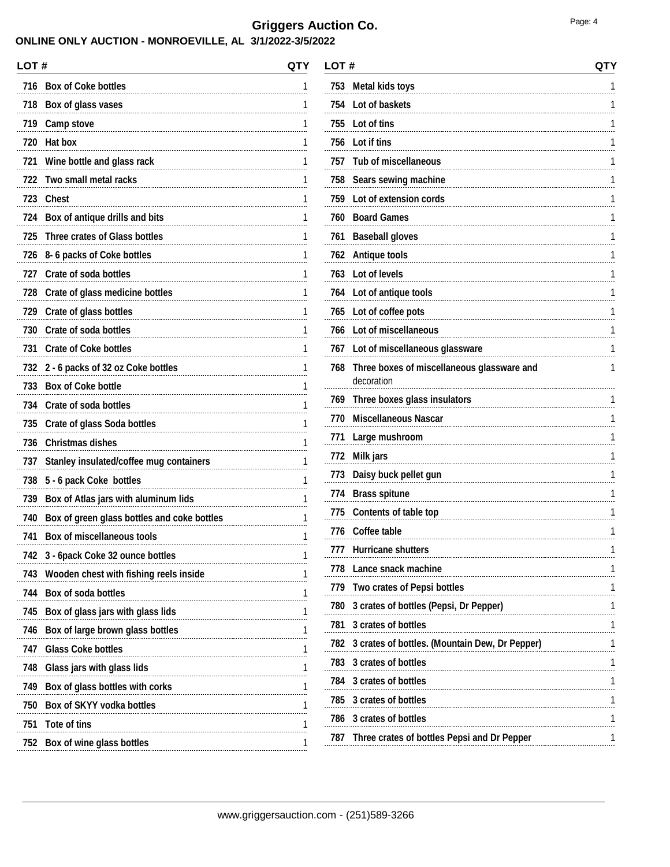### **ONLINE ONLY AUCTION - MONROEVILLE, AL 3/1/2022-3/5/2022**

| <b>Box of Coke bottles</b><br>716<br>718<br>Box of glass vases<br>719<br>Camp stove<br>720<br><b>Hat box</b><br>721<br>Wine bottle and glass rack<br>Two small metal racks<br>722<br>723<br><b>Chest</b><br>724<br>Box of antique drills and bits<br><b>Three crates of Glass bottles</b><br>725<br>8-6 packs of Coke bottles<br>726<br><b>Crate of soda bottles</b><br>727<br>728<br>Crate of glass medicine bottles<br>729<br>Crate of glass bottles<br><b>Crate of soda bottles</b><br>730<br>731<br><b>Crate of Coke bottles</b><br>732<br>2 - 6 packs of 32 oz Coke bottles<br><b>Box of Coke bottle</b><br>733<br>734<br><b>Crate of soda bottles</b><br>735<br><b>Crate of glass Soda bottles</b><br>736<br><b>Christmas dishes</b><br>737<br>Stanley insulated/coffee mug containers<br>738<br>5 - 6 pack Coke bottles<br>Box of Atlas jars with aluminum lids<br>739<br>740<br>Box of green glass bottles and coke bottles<br><b>Box of miscellaneous tools</b><br>741<br>3 - 6pack Coke 32 ounce bottles<br>742<br>743<br>Wooden chest with fishing reels inside<br><b>Box of soda bottles</b><br>744<br>745<br>Box of glass jars with glass lids<br>746<br>Box of large brown glass bottles<br><b>Glass Coke bottles</b><br>747<br>748<br>Glass jars with glass lids<br>Box of glass bottles with corks<br>749<br>750<br><b>Box of SKYY vodka bottles</b><br>751<br>Tote of tins<br>752<br>Box of wine glass bottles | LOT # | QTY |
|---------------------------------------------------------------------------------------------------------------------------------------------------------------------------------------------------------------------------------------------------------------------------------------------------------------------------------------------------------------------------------------------------------------------------------------------------------------------------------------------------------------------------------------------------------------------------------------------------------------------------------------------------------------------------------------------------------------------------------------------------------------------------------------------------------------------------------------------------------------------------------------------------------------------------------------------------------------------------------------------------------------------------------------------------------------------------------------------------------------------------------------------------------------------------------------------------------------------------------------------------------------------------------------------------------------------------------------------------------------------------------------------------------------------------------|-------|-----|
|                                                                                                                                                                                                                                                                                                                                                                                                                                                                                                                                                                                                                                                                                                                                                                                                                                                                                                                                                                                                                                                                                                                                                                                                                                                                                                                                                                                                                                 |       | 1   |
|                                                                                                                                                                                                                                                                                                                                                                                                                                                                                                                                                                                                                                                                                                                                                                                                                                                                                                                                                                                                                                                                                                                                                                                                                                                                                                                                                                                                                                 |       | 1   |
|                                                                                                                                                                                                                                                                                                                                                                                                                                                                                                                                                                                                                                                                                                                                                                                                                                                                                                                                                                                                                                                                                                                                                                                                                                                                                                                                                                                                                                 |       | 1   |
|                                                                                                                                                                                                                                                                                                                                                                                                                                                                                                                                                                                                                                                                                                                                                                                                                                                                                                                                                                                                                                                                                                                                                                                                                                                                                                                                                                                                                                 |       | 1   |
|                                                                                                                                                                                                                                                                                                                                                                                                                                                                                                                                                                                                                                                                                                                                                                                                                                                                                                                                                                                                                                                                                                                                                                                                                                                                                                                                                                                                                                 |       | 1   |
|                                                                                                                                                                                                                                                                                                                                                                                                                                                                                                                                                                                                                                                                                                                                                                                                                                                                                                                                                                                                                                                                                                                                                                                                                                                                                                                                                                                                                                 |       | 1   |
|                                                                                                                                                                                                                                                                                                                                                                                                                                                                                                                                                                                                                                                                                                                                                                                                                                                                                                                                                                                                                                                                                                                                                                                                                                                                                                                                                                                                                                 |       | 1   |
|                                                                                                                                                                                                                                                                                                                                                                                                                                                                                                                                                                                                                                                                                                                                                                                                                                                                                                                                                                                                                                                                                                                                                                                                                                                                                                                                                                                                                                 |       | 1   |
|                                                                                                                                                                                                                                                                                                                                                                                                                                                                                                                                                                                                                                                                                                                                                                                                                                                                                                                                                                                                                                                                                                                                                                                                                                                                                                                                                                                                                                 |       | 1   |
|                                                                                                                                                                                                                                                                                                                                                                                                                                                                                                                                                                                                                                                                                                                                                                                                                                                                                                                                                                                                                                                                                                                                                                                                                                                                                                                                                                                                                                 |       | 1   |
|                                                                                                                                                                                                                                                                                                                                                                                                                                                                                                                                                                                                                                                                                                                                                                                                                                                                                                                                                                                                                                                                                                                                                                                                                                                                                                                                                                                                                                 |       | 1   |
|                                                                                                                                                                                                                                                                                                                                                                                                                                                                                                                                                                                                                                                                                                                                                                                                                                                                                                                                                                                                                                                                                                                                                                                                                                                                                                                                                                                                                                 |       | 1   |
|                                                                                                                                                                                                                                                                                                                                                                                                                                                                                                                                                                                                                                                                                                                                                                                                                                                                                                                                                                                                                                                                                                                                                                                                                                                                                                                                                                                                                                 |       | 1   |
|                                                                                                                                                                                                                                                                                                                                                                                                                                                                                                                                                                                                                                                                                                                                                                                                                                                                                                                                                                                                                                                                                                                                                                                                                                                                                                                                                                                                                                 |       | 1   |
|                                                                                                                                                                                                                                                                                                                                                                                                                                                                                                                                                                                                                                                                                                                                                                                                                                                                                                                                                                                                                                                                                                                                                                                                                                                                                                                                                                                                                                 |       | 1   |
|                                                                                                                                                                                                                                                                                                                                                                                                                                                                                                                                                                                                                                                                                                                                                                                                                                                                                                                                                                                                                                                                                                                                                                                                                                                                                                                                                                                                                                 |       | 1   |
|                                                                                                                                                                                                                                                                                                                                                                                                                                                                                                                                                                                                                                                                                                                                                                                                                                                                                                                                                                                                                                                                                                                                                                                                                                                                                                                                                                                                                                 |       | 1   |
|                                                                                                                                                                                                                                                                                                                                                                                                                                                                                                                                                                                                                                                                                                                                                                                                                                                                                                                                                                                                                                                                                                                                                                                                                                                                                                                                                                                                                                 |       | 1   |
|                                                                                                                                                                                                                                                                                                                                                                                                                                                                                                                                                                                                                                                                                                                                                                                                                                                                                                                                                                                                                                                                                                                                                                                                                                                                                                                                                                                                                                 |       | 1   |
|                                                                                                                                                                                                                                                                                                                                                                                                                                                                                                                                                                                                                                                                                                                                                                                                                                                                                                                                                                                                                                                                                                                                                                                                                                                                                                                                                                                                                                 |       | 1   |
|                                                                                                                                                                                                                                                                                                                                                                                                                                                                                                                                                                                                                                                                                                                                                                                                                                                                                                                                                                                                                                                                                                                                                                                                                                                                                                                                                                                                                                 |       | 1   |
|                                                                                                                                                                                                                                                                                                                                                                                                                                                                                                                                                                                                                                                                                                                                                                                                                                                                                                                                                                                                                                                                                                                                                                                                                                                                                                                                                                                                                                 |       | 1   |
|                                                                                                                                                                                                                                                                                                                                                                                                                                                                                                                                                                                                                                                                                                                                                                                                                                                                                                                                                                                                                                                                                                                                                                                                                                                                                                                                                                                                                                 |       | 1   |
|                                                                                                                                                                                                                                                                                                                                                                                                                                                                                                                                                                                                                                                                                                                                                                                                                                                                                                                                                                                                                                                                                                                                                                                                                                                                                                                                                                                                                                 |       | 1   |
|                                                                                                                                                                                                                                                                                                                                                                                                                                                                                                                                                                                                                                                                                                                                                                                                                                                                                                                                                                                                                                                                                                                                                                                                                                                                                                                                                                                                                                 |       | 1   |
|                                                                                                                                                                                                                                                                                                                                                                                                                                                                                                                                                                                                                                                                                                                                                                                                                                                                                                                                                                                                                                                                                                                                                                                                                                                                                                                                                                                                                                 |       | 1   |
|                                                                                                                                                                                                                                                                                                                                                                                                                                                                                                                                                                                                                                                                                                                                                                                                                                                                                                                                                                                                                                                                                                                                                                                                                                                                                                                                                                                                                                 |       | 1   |
|                                                                                                                                                                                                                                                                                                                                                                                                                                                                                                                                                                                                                                                                                                                                                                                                                                                                                                                                                                                                                                                                                                                                                                                                                                                                                                                                                                                                                                 |       | 1   |
|                                                                                                                                                                                                                                                                                                                                                                                                                                                                                                                                                                                                                                                                                                                                                                                                                                                                                                                                                                                                                                                                                                                                                                                                                                                                                                                                                                                                                                 |       | 1   |
|                                                                                                                                                                                                                                                                                                                                                                                                                                                                                                                                                                                                                                                                                                                                                                                                                                                                                                                                                                                                                                                                                                                                                                                                                                                                                                                                                                                                                                 |       | 1   |
|                                                                                                                                                                                                                                                                                                                                                                                                                                                                                                                                                                                                                                                                                                                                                                                                                                                                                                                                                                                                                                                                                                                                                                                                                                                                                                                                                                                                                                 |       | 1   |
|                                                                                                                                                                                                                                                                                                                                                                                                                                                                                                                                                                                                                                                                                                                                                                                                                                                                                                                                                                                                                                                                                                                                                                                                                                                                                                                                                                                                                                 |       | 1   |
|                                                                                                                                                                                                                                                                                                                                                                                                                                                                                                                                                                                                                                                                                                                                                                                                                                                                                                                                                                                                                                                                                                                                                                                                                                                                                                                                                                                                                                 |       | 1   |
|                                                                                                                                                                                                                                                                                                                                                                                                                                                                                                                                                                                                                                                                                                                                                                                                                                                                                                                                                                                                                                                                                                                                                                                                                                                                                                                                                                                                                                 |       | 1   |
|                                                                                                                                                                                                                                                                                                                                                                                                                                                                                                                                                                                                                                                                                                                                                                                                                                                                                                                                                                                                                                                                                                                                                                                                                                                                                                                                                                                                                                 |       | 1   |
|                                                                                                                                                                                                                                                                                                                                                                                                                                                                                                                                                                                                                                                                                                                                                                                                                                                                                                                                                                                                                                                                                                                                                                                                                                                                                                                                                                                                                                 |       | 1   |

| LOT # |                                                          | QTY |
|-------|----------------------------------------------------------|-----|
| 753   | <b>Metal kids toys</b>                                   | 1   |
| 754   | Lot of baskets                                           | 1   |
| 755   | Lot of tins                                              | 1   |
| 756   | Lot if tins                                              | 1   |
| 757   | <b>Tub of miscellaneous</b>                              | 1   |
| 758   | Sears sewing machine                                     | 1   |
| 759   | Lot of extension cords                                   | 1   |
| 760   | <b>Board Games</b>                                       | 1   |
| 761   | <b>Baseball gloves</b>                                   | 1   |
| 762   | <b>Antique tools</b>                                     | 1   |
| 763   | Lot of levels                                            | 1   |
| 764   | Lot of antique tools                                     | 1   |
| 765   | Lot of coffee pots                                       | 1   |
| 766   | Lot of miscellaneous                                     | 1   |
| 767   | Lot of miscellaneous glassware                           | 1   |
| 768   | Three boxes of miscellaneous glassware and<br>decoration | 1   |
| 769.  | Three boxes glass insulators                             | 1   |
| 770   | <b>Miscellaneous Nascar</b>                              |     |
| 771   | Large mushroom                                           | 1   |
| 772   | <b>Milk jars</b>                                         | 1   |
| 773   | Daisy buck pellet gun                                    | 1   |
| 774   | <b>Brass spitune</b>                                     | 1   |
| 775   | <b>Contents of table top</b>                             | 1   |
| 776   | <b>Coffee table</b>                                      | 1   |
| 177   | <b>Hurricane shutters</b>                                |     |
|       | 778 Lance snack machine                                  | 1   |
|       | 779 Two crates of Pepsi bottles                          | 1   |
|       | 780 3 crates of bottles (Pepsi, Dr Pepper)               | 1   |
|       | 781 3 crates of bottles                                  | 1   |
|       | 782 3 crates of bottles. (Mountain Dew, Dr Pepper)       | 1   |
|       | 783 3 crates of bottles                                  | 1   |
|       | 784 3 crates of bottles                                  | 1   |
|       | 785 3 crates of bottles                                  | 1   |
|       | 786 3 crates of bottles                                  | 1   |
|       | 787 Three crates of bottles Pepsi and Dr Pepper          | 1   |
|       |                                                          |     |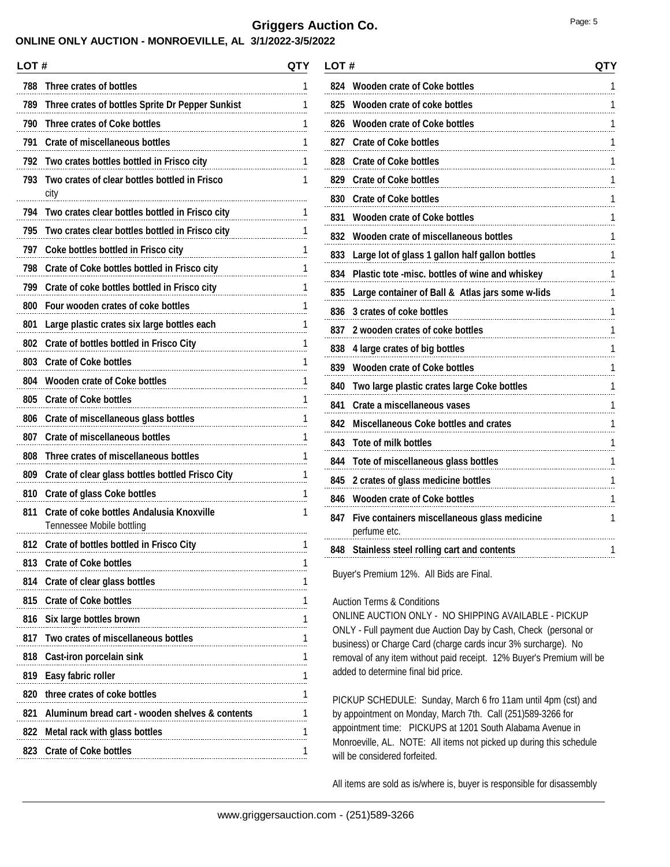#### **ONLINE ONLY AUCTION - MONROEVILLE, AL 3/1/2022-3/5/2022**

| LOT# |                                                                               | QTY |
|------|-------------------------------------------------------------------------------|-----|
| 788  | Three crates of bottles                                                       | 1   |
| 789  | Three crates of bottles Sprite Dr Pepper Sunkist                              | 1   |
| 790  | Three crates of Coke bottles                                                  | 1   |
| 791  | <b>Crate of miscellaneous bottles</b>                                         | 1   |
| 792  | Two crates bottles bottled in Frisco city                                     | 1   |
| 793  | Two crates of clear bottles bottled in Frisco<br>city                         | 1   |
| 794  | Two crates clear bottles bottled in Frisco city                               | 1   |
| 795  | Two crates clear bottles bottled in Frisco city                               | 1   |
| 797  | Coke bottles bottled in Frisco city                                           | 1   |
| 798  | Crate of Coke bottles bottled in Frisco city                                  | 1   |
| 799  | Crate of coke bottles bottled in Frisco city                                  | 1   |
| 800  | Four wooden crates of coke bottles                                            | 1   |
| 801  | Large plastic crates six large bottles each                                   | 1   |
| 802  | Crate of bottles bottled in Frisco City                                       | 1   |
| 803  | <b>Crate of Coke bottles</b>                                                  | 1   |
| 804  | <b>Wooden crate of Coke bottles</b>                                           | 1   |
| 805  | <b>Crate of Coke bottles</b>                                                  | 1   |
| 806  | Crate of miscellaneous glass bottles                                          | 1   |
| 807  | <b>Crate of miscellaneous bottles</b>                                         | 1   |
| 808  | Three crates of miscellaneous bottles                                         | 1   |
| 809  | Crate of clear glass bottles bottled Frisco City                              | 1   |
| 810  | <b>Crate of glass Coke bottles</b>                                            | 1   |
| 811  | <b>Crate of coke bottles Andalusia Knoxville</b><br>Tennessee Mobile bottling | 1   |
| 812  | Crate of bottles bottled in Frisco City                                       | 1   |
|      | 813 Crate of Coke bottles                                                     | 1   |
|      | 814 Crate of clear glass bottles                                              | 1   |
|      | 815 Crate of Coke bottles                                                     | 1   |
| 816  | Six large bottles brown                                                       | 1   |
| 817  | Two crates of miscellaneous bottles                                           | 1   |
| 818  | Cast-iron porcelain sink                                                      | 1   |
| 819  | Easy fabric roller                                                            | 1   |
| 820  | three crates of coke bottles                                                  | 1   |
| 821  | Aluminum bread cart - wooden shelves & contents                               | 1   |
|      | 822 Metal rack with glass bottles                                             | 1   |
| 823  | <b>Crate of Coke bottles</b>                                                  | 1   |
|      |                                                                               |     |

| LOT # |                                                              | QTY |
|-------|--------------------------------------------------------------|-----|
| 824   | <b>Wooden crate of Coke bottles</b>                          | 1   |
| 825   | Wooden crate of coke bottles                                 | 1   |
| 826   | <b>Wooden crate of Coke bottles</b>                          | 1   |
| 827   | <b>Crate of Coke bottles</b>                                 | 1   |
| 828   | <b>Crate of Coke bottles</b>                                 | 1   |
| 829   | <b>Crate of Coke bottles</b>                                 | 1   |
| 830   | <b>Crate of Coke bottles</b>                                 | 1   |
| 831   | <b>Wooden crate of Coke bottles</b>                          | 1   |
| 832   | Wooden crate of miscellaneous bottles                        | 1   |
| 833   | Large lot of glass 1 gallon half gallon bottles              | 1   |
| 834   | Plastic tote -misc. bottles of wine and whiskey              | 1   |
| 835   | Large container of Ball & Atlas jars some w-lids             | 1   |
| 836   | 3 crates of coke bottles                                     | 1   |
| 837   | 2 wooden crates of coke bottles                              | 1   |
| 838   | 4 large crates of big bottles                                | 1   |
| 839   | <b>Wooden crate of Coke bottles</b>                          | 1   |
| 840   | Two large plastic crates large Coke bottles                  | 1   |
| 841   | Crate a miscellaneous vases                                  | 1   |
| 842   | <b>Miscellaneous Coke bottles and crates</b>                 | 1   |
| 843   | <b>Tote of milk bottles</b>                                  | 1   |
| 844   | Tote of miscellaneous glass bottles                          | 1   |
| 845   | 2 crates of glass medicine bottles                           | 1   |
| 846   | <b>Wooden crate of Coke bottles</b>                          | 1   |
| 847   | Five containers miscellaneous glass medicine<br>perfume etc. | 1   |
| 848   | Stainless steel rolling cart and contents                    | 1   |
|       |                                                              |     |

Buyer's Premium 12%. All Bids are Final.

#### Auction Terms & Conditions

ONLINE AUCTION ONLY - NO SHIPPING AVAILABLE - PICKUP ONLY - Full payment due Auction Day by Cash, Check (personal or business) or Charge Card (charge cards incur 3% surcharge). No removal of any item without paid receipt. 12% Buyer's Premium will be added to determine final bid price.

PICKUP SCHEDULE: Sunday, March 6 fro 11am until 4pm (cst) and by appointment on Monday, March 7th. Call (251)589-3266 for appointment time: PICKUPS at 1201 South Alabama Avenue in Monroeville, AL. NOTE: All items not picked up during this schedule will be considered forfeited.

All items are sold as is/where is, buyer is responsible for disassembly